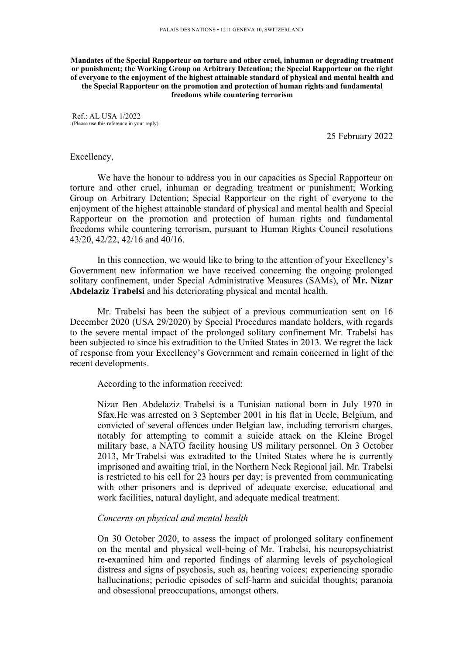**Mandates of the Special Rapporteur on torture and other cruel, inhuman or degrading treatment or punishment; the Working Group on Arbitrary Detention; the Special Rapporteur on the right of everyone to the enjoyment of the highest attainable standard of physical and mental health and the Special Rapporteur on the promotion and protection of human rights and fundamental freedoms while countering terrorism**

Ref.: AL USA 1/2022 (Please use this reference in your reply)

25 February 2022

Excellency,

We have the honour to address you in our capacities as Special Rapporteur on torture and other cruel, inhuman or degrading treatment or punishment; Working Group on Arbitrary Detention; Special Rapporteur on the right of everyone to the enjoyment of the highest attainable standard of physical and mental health and Special Rapporteur on the promotion and protection of human rights and fundamental freedoms while countering terrorism, pursuan<sup>t</sup> to Human Rights Council resolutions 43/20, 42/22, 42/16 and 40/16.

In this connection, we would like to bring to the attention of your Excellency'<sup>s</sup> Government new information we have received concerning the ongoing prolonged solitary confinement, under Special Administrative Measures (SAMs), of **Mr. Nizar Abdelaziz Trabelsi** and his deteriorating physical and mental health.

Mr. Trabelsi has been the subject of <sup>a</sup> previous communication sent on 16 December 2020 (USA 29/2020) by Special Procedures mandate holders, with regards to the severe mental impact of the prolonged solitary confinement Mr. Trabelsi has been subjected to since his extradition to the United States in 2013. We regre<sup>t</sup> the lack of response from your Excellency'<sup>s</sup> Government and remain concerned in light of the recent developments.

According to the information received:

Nizar Ben Abdelaziz Trabelsi is <sup>a</sup> Tunisian national born in July 1970 in Sfax.He was arrested on 3 September 2001 in his flat in Uccle, Belgium, and convicted of several offences under Belgian law, including terrorism charges, notably for attempting to commit <sup>a</sup> suicide attack on the Kleine Brogel military base, <sup>a</sup> NATO facility housing US military personnel. On 3 October 2013, Mr Trabelsi was extradited to the United States where he is currently imprisoned and awaiting trial, in the Northern Neck Regional jail. Mr. Trabelsi is restricted to his cell for 23 hours per day; is prevented from communicating with other prisoners and is deprived of adequate exercise, educational and work facilities, natural daylight, and adequate medical treatment.

## *Concerns on physical and mental health*

On 30 October 2020, to assess the impact of prolonged solitary confinement on the mental and physical well-being of Mr. Trabelsi, his neuropsychiatrist re-examined him and reported findings of alarming levels of psychological distress and signs of psychosis, such as, hearing voices; experiencing sporadic hallucinations; periodic episodes of self-harm and suicidal thoughts; paranoia and obsessional preoccupations, amongs<sup>t</sup> others.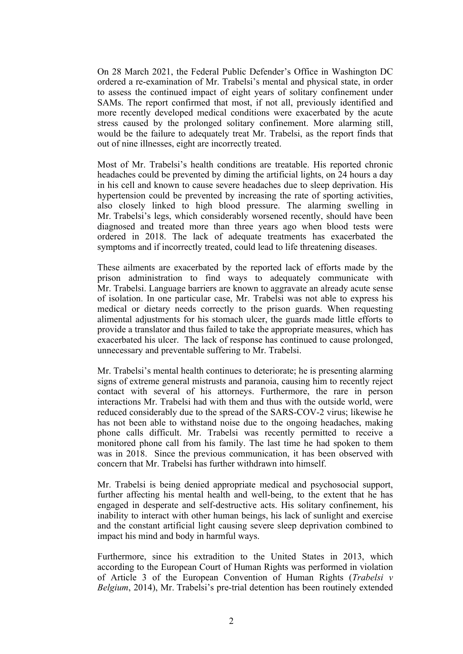On 28 March 2021, the Federal Public Defender'<sup>s</sup> Office in Washington DC ordered <sup>a</sup> re-examination of Mr. Trabelsi'<sup>s</sup> mental and physical state, in order to assess the continued impact of eight years of solitary confinement under SAMs. The repor<sup>t</sup> confirmed that most, if not all, previously identified and more recently developed medical conditions were exacerbated by the acute stress caused by the prolonged solitary confinement. More alarming still, would be the failure to adequately treat Mr. Trabelsi, as the repor<sup>t</sup> finds that out of nine illnesses, eight are incorrectly treated.

Most of Mr. Trabelsi'<sup>s</sup> health conditions are treatable. His reported chronic headaches could be prevented by diming the artificial lights, on 24 hours <sup>a</sup> day in his cell and known to cause severe headaches due to sleep deprivation. His hypertension could be prevented by increasing the rate of sporting activities, also closely linked to high blood pressure. The alarming swelling in Mr. Trabelsi'<sup>s</sup> legs, which considerably worsened recently, should have been diagnosed and treated more than three years ago when blood tests were ordered in 2018. The lack of adequate treatments has exacerbated the symptoms and if incorrectly treated, could lead to life threatening diseases.

These ailments are exacerbated by the reported lack of efforts made by the prison administration to find ways to adequately communicate with Mr. Trabelsi. Language barriers are known to aggravate an already acute sense of isolation. In one particular case, Mr. Trabelsi was not able to express his medical or dietary needs correctly to the prison guards. When requesting alimental adjustments for his stomach ulcer, the guards made little efforts to provide <sup>a</sup> translator and thus failed to take the appropriate measures, which has exacerbated his ulcer. The lack of response has continued to cause prolonged, unnecessary and preventable suffering to Mr. Trabelsi.

Mr. Trabelsi'<sup>s</sup> mental health continues to deteriorate; he is presenting alarming signs of extreme general mistrusts and paranoia, causing him to recently reject contact with several of his attorneys. Furthermore, the rare in person interactions Mr. Trabelsi had with them and thus with the outside world, were reduced considerably due to the spread of the SARS-COV-2 virus; likewise he has not been able to withstand noise due to the ongoing headaches, making phone calls difficult. Mr. Trabelsi was recently permitted to receive <sup>a</sup> monitored phone call from his family. The last time he had spoken to them was in 2018. Since the previous communication, it has been observed with concern that Mr. Trabelsi has further withdrawn into himself.

Mr. Trabelsi is being denied appropriate medical and psychosocial support, further affecting his mental health and well-being, to the extent that he has engaged in desperate and self-destructive acts. His solitary confinement, his inability to interact with other human beings, his lack of sunlight and exercise and the constant artificial light causing severe sleep deprivation combined to impact his mind and body in harmful ways.

Furthermore, since his extradition to the United States in 2013, which according to the European Court of Human Rights was performed in violation of Article 3 of the European Convention of Human Rights (*Trabelsi <sup>v</sup> Belgium*, 2014), Mr. Trabelsi'<sup>s</sup> pre-trial detention has been routinely extended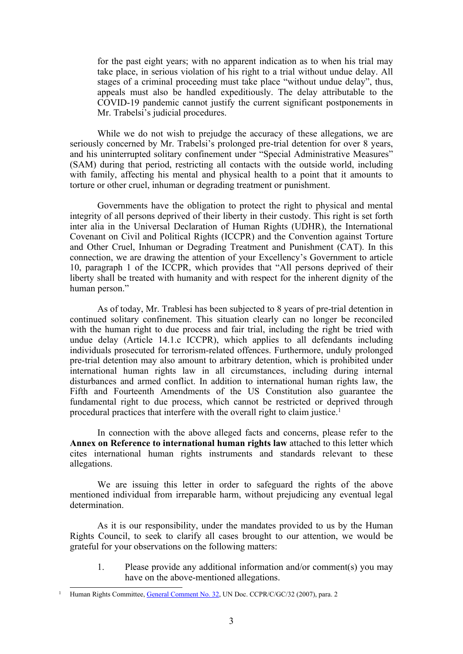for the pas<sup>t</sup> eight years; with no apparen<sup>t</sup> indication as to when his trial may take place, in serious violation of his right to <sup>a</sup> trial without undue delay. All stages of <sup>a</sup> criminal proceeding must take place "without undue delay", thus, appeals must also be handled expeditiously. The delay attributable to the COVID-19 pandemic cannot justify the current significant postponements in Mr. Trabelsi'<sup>s</sup> judicial procedures.

While we do not wish to prejudge the accuracy of these allegations, we are seriously concerned by Mr. Trabelsi'<sup>s</sup> prolonged pre-trial detention for over 8 years, and his uninterrupted solitary confinement under "Special Administrative Measures" (SAM) during that period, restricting all contacts with the outside world, including with family, affecting his mental and physical health to <sup>a</sup> point that it amounts to torture or other cruel, inhuman or degrading treatment or punishment.

Governments have the obligation to protect the right to physical and mental integrity of all persons deprived of their liberty in their custody. This right is set forth inter alia in the Universal Declaration of Human Rights (UDHR), the International Covenant on Civil and Political Rights (ICCPR) and the Convention against Torture and Other Cruel, Inhuman or Degrading Treatment and Punishment (CAT). In this connection, we are drawing the attention of your Excellency'<sup>s</sup> Government to article 10, paragraph 1 of the ICCPR, which provides that "All persons deprived of their liberty shall be treated with humanity and with respec<sup>t</sup> for the inherent dignity of the human person."

As of today, Mr. Trablesi has been subjected to 8 years of pre-trial detention in continued solitary confinement. This situation clearly can no longer be reconciled with the human right to due process and fair trial, including the right be tried with undue delay (Article 14.1.c ICCPR), which applies to all defendants including individuals prosecuted for terrorism-related offences. Furthermore, unduly prolonged pre-trial detention may also amount to arbitrary detention, which is prohibited under international human rights law in all circumstances, including during internal disturbances and armed conflict. In addition to international human rights law, the Fifth and Fourteenth Amendments of the US Constitution also guarantee the fundamental right to due process, which cannot be restricted or deprived through procedural practices that interfere with the overall right to claim justice. 1

In connection with the above alleged facts and concerns, please refer to the **Annex on Reference to international human rights law** attached to this letter which cites international human rights instruments and standards relevant to these allegations.

We are issuing this letter in order to safeguard the rights of the above mentioned individual from irreparable harm, without prejudicing any eventual legal determination.

As it is our responsibility, under the mandates provided to us by the Human Rights Council, to seek to clarify all cases brought to our attention, we would be grateful for your observations on the following matters:

1. Please provide any additional information and/or comment(s) you may have on the above-mentioned allegations.

<sup>&</sup>lt;sup>1</sup> Human Rights Committee, General [Comment](http://tbinternet.ohchr.org/_layouts/treatybodyexternal/Download.aspx?symbolno=CCPR%2FC%2FGC%2F32&Lang=en) No. 32, UN Doc. CCPR/C/GC/32 (2007), para. 2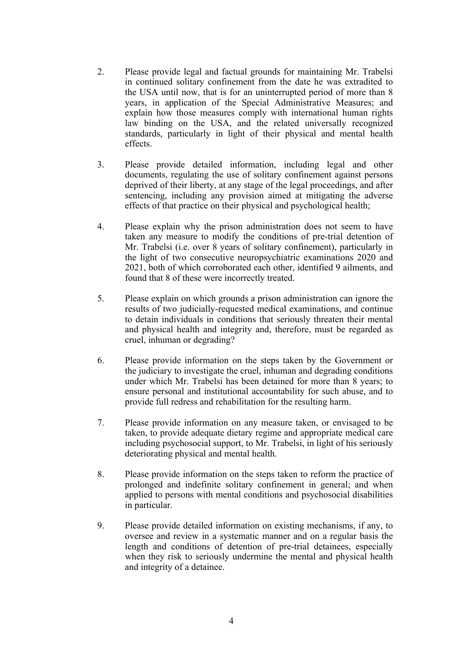- 2. Please provide legal and factual grounds for maintaining Mr. Trabelsi in continued solitary confinement from the date he was extradited to the USA until now, that is for an uninterrupted period of more than 8 years, in application of the Special Administrative Measures; and explain how those measures comply with international human rights law binding on the USA, and the related universally recognized standards, particularly in light of their physical and mental health effects.
- 3. Please provide detailed information, including legal and other documents, regulating the use of solitary confinement against persons deprived of their liberty, at any stage of the legal proceedings, and after sentencing, including any provision aimed at mitigating the adverse effects of that practice on their physical and psychological health;
- 4. Please explain why the prison administration does not seem to have taken any measure to modify the conditions of pre-trial detention of Mr. Trabelsi (i.e. over 8 years of solitary confinement), particularly in the light of two consecutive neuropsychiatric examinations 2020 and 2021, both of which corroborated each other, identified 9 ailments, and found that 8 of these were incorrectly treated.
- 5. Please explain on which grounds <sup>a</sup> prison administration can ignore the results of two judicially-requested medical examinations, and continue to detain individuals in conditions that seriously threaten their mental and physical health and integrity and, therefore, must be regarded as cruel, inhuman or degrading?
- 6. Please provide information on the steps taken by the Government or the judiciary to investigate the cruel, inhuman and degrading conditions under which Mr. Trabelsi has been detained for more than 8 years; to ensure personal and institutional accountability for such abuse, and to provide full redress and rehabilitation for the resulting harm.
- 7. Please provide information on any measure taken, or envisaged to be taken, to provide adequate dietary regime and appropriate medical care including psychosocial support, to Mr. Trabelsi, in light of his seriously deteriorating physical and mental health.
- 8. Please provide information on the steps taken to reform the practice of prolonged and indefinite solitary confinement in general; and when applied to persons with mental conditions and psychosocial disabilities in particular.
- 9. Please provide detailed information on existing mechanisms, if any, to oversee and review in <sup>a</sup> systematic manner and on <sup>a</sup> regular basis the length and conditions of detention of pre-trial detainees, especially when they risk to seriously undermine the mental and physical health and integrity of <sup>a</sup> detainee.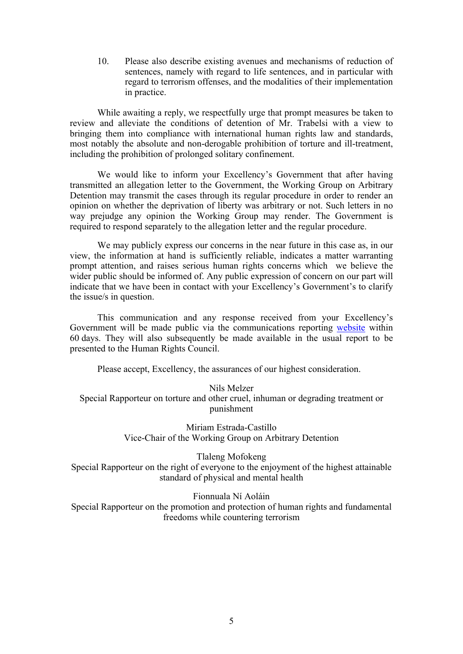10. Please also describe existing avenues and mechanisms of reduction of sentences, namely with regard to life sentences, and in particular with regard to terrorism offenses, and the modalities of their implementation in practice.

While awaiting <sup>a</sup> reply, we respectfully urge that promp<sup>t</sup> measures be taken to review and alleviate the conditions of detention of Mr. Trabelsi with <sup>a</sup> view to bringing them into compliance with international human rights law and standards, most notably the absolute and non-derogable prohibition of torture and ill-treatment, including the prohibition of prolonged solitary confinement.

We would like to inform your Excellency'<sup>s</sup> Government that after having transmitted an allegation letter to the Government, the Working Group on Arbitrary Detention may transmit the cases through its regular procedure in order to render an opinion on whether the deprivation of liberty was arbitrary or not. Such letters in no way prejudge any opinion the Working Group may render. The Government is required to respond separately to the allegation letter and the regular procedure.

We may publicly express our concerns in the near future in this case as, in our view, the information at hand is sufficiently reliable, indicates <sup>a</sup> matter warranting promp<sup>t</sup> attention, and raises serious human rights concerns which we believe the wider public should be informed of. Any public expression of concern on our par<sup>t</sup> will indicate that we have been in contact with your Excellency'<sup>s</sup> Government'<sup>s</sup> to clarify the issue/s in question.

This communication and any response received from your Excellency'<sup>s</sup> Government will be made public via the communications reporting [website](https://spcommreports.ohchr.org/) within 60 days. They will also subsequently be made available in the usual repor<sup>t</sup> to be presented to the Human Rights Council.

Please accept, Excellency, the assurances of our highest consideration.

Nils Melzer Special Rapporteur on torture and other cruel, inhuman or degrading treatment or punishment

> Miriam Estrada-Castillo Vice-Chair of the Working Group on Arbitrary Detention

Tlaleng Mofokeng Special Rapporteur on the right of everyone to the enjoyment of the highest attainable standard of physical and mental health

Fionnuala Ní Aoláin Special Rapporteur on the promotion and protection of human rights and fundamental freedoms while countering terrorism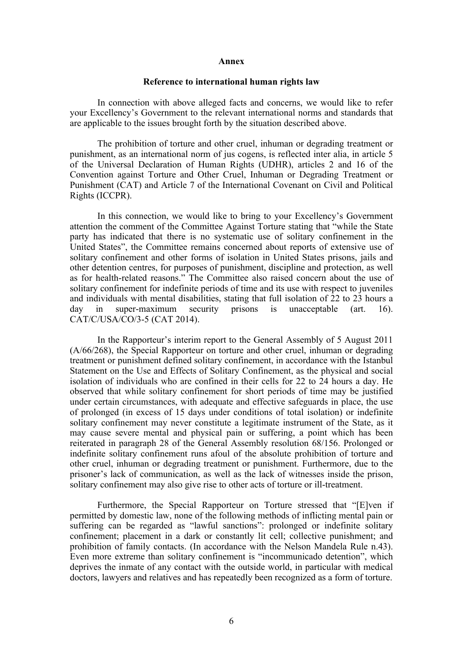## **Annex**

## **Reference to international human rights law**

In connection with above alleged facts and concerns, we would like to refer your Excellency'<sup>s</sup> Government to the relevant international norms and standards that are applicable to the issues brought forth by the situation described above.

The prohibition of torture and other cruel, inhuman or degrading treatment or punishment, as an international norm of jus cogens, is reflected inter alia, in article 5 of the Universal Declaration of Human Rights (UDHR), articles 2 and 16 of the Convention against Torture and Other Cruel, Inhuman or Degrading Treatment or Punishment (CAT) and Article 7 of the International Covenant on Civil and Political Rights (ICCPR).

In this connection, we would like to bring to your Excellency'<sup>s</sup> Government attention the comment of the Committee Against Torture stating that "while the State party has indicated that there is no systematic use of solitary confinement in the United States", the Committee remains concerned about reports of extensive use of solitary confinement and other forms of isolation in United States prisons, jails and other detention centres, for purposes of punishment, discipline and protection, as well as for health-related reasons." The Committee also raised concern about the use of solitary confinement for indefinite periods of time and its use with respec<sup>t</sup> to juveniles and individuals with mental disabilities, stating that full isolation of 22 to 23 hours <sup>a</sup> day in super-maximum security prisons is unacceptable (art. 16). CAT/C/USA/CO/3-5 (CAT 2014).

In the Rapporteur'<sup>s</sup> interim repor<sup>t</sup> to the General Assembly of 5 August 2011 (A/66/268), the Special Rapporteur on torture and other cruel, inhuman or degrading treatment or punishment defined solitary confinement, in accordance with the Istanbul Statement on the Use and Effects of Solitary Confinement, as the physical and social isolation of individuals who are confined in their cells for 22 to 24 hours <sup>a</sup> day. He observed that while solitary confinement for short periods of time may be justified under certain circumstances, with adequate and effective safeguards in place, the use of prolonged (in excess of 15 days under conditions of total isolation) or indefinite solitary confinement may never constitute <sup>a</sup> legitimate instrument of the State, as it may cause severe mental and physical pain or suffering, <sup>a</sup> point which has been reiterated in paragraph 28 of the General Assembly resolution 68/156. Prolonged or indefinite solitary confinement runs afoul of the absolute prohibition of torture and other cruel, inhuman or degrading treatment or punishment. Furthermore, due to the prisoner'<sup>s</sup> lack of communication, as well as the lack of witnesses inside the prison, solitary confinement may also give rise to other acts of torture or ill-treatment.

Furthermore, the Special Rapporteur on Torture stressed that "[E]ven if permitted by domestic law, none of the following methods of inflicting mental pain or suffering can be regarded as "lawful sanctions": prolonged or indefinite solitary confinement; placement in <sup>a</sup> dark or constantly lit cell; collective punishment; and prohibition of family contacts. (In accordance with the Nelson Mandela Rule n.43). Even more extreme than solitary confinement is "incommunicado detention", which deprives the inmate of any contact with the outside world, in particular with medical doctors, lawyers and relatives and has repeatedly been recognized as <sup>a</sup> form of torture.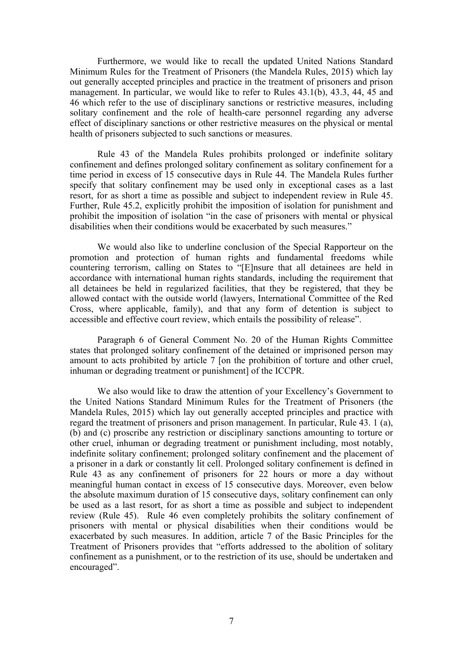Furthermore, we would like to recall the updated United Nations Standard Minimum Rules for the Treatment of Prisoners (the Mandela Rules, 2015) which lay out generally accepted principles and practice in the treatment of prisoners and prison management. In particular, we would like to refer to Rules 43.1(b), 43.3, 44, 45 and 46 which refer to the use of disciplinary sanctions or restrictive measures, including solitary confinement and the role of health-care personnel regarding any adverse effect of disciplinary sanctions or other restrictive measures on the physical or mental health of prisoners subjected to such sanctions or measures.

Rule 43 of the Mandela Rules prohibits prolonged or indefinite solitary confinement and defines prolonged solitary confinement as solitary confinement for <sup>a</sup> time period in excess of 15 consecutive days in Rule 44. The Mandela Rules further specify that solitary confinement may be used only in exceptional cases as <sup>a</sup> last resort, for as short <sup>a</sup> time as possible and subject to independent review in Rule 45. Further, Rule 45.2, explicitly prohibit the imposition of isolation for punishment and prohibit the imposition of isolation "in the case of prisoners with mental or physical disabilities when their conditions would be exacerbated by such measures."

We would also like to underline conclusion of the Special Rapporteur on the promotion and protection of human rights and fundamental freedoms while countering terrorism, calling on States to "[E]nsure that all detainees are held in accordance with international human rights standards, including the requirement that all detainees be held in regularized facilities, that they be registered, that they be allowed contact with the outside world (lawyers, International Committee of the Red Cross, where applicable, family), and that any form of detention is subject to accessible and effective court review, which entails the possibility of release".

Paragraph 6 of General Comment No. 20 of the Human Rights Committee states that prolonged solitary confinement of the detained or imprisoned person may amount to acts prohibited by article 7 [on the prohibition of torture and other cruel, inhuman or degrading treatment or punishment] of the ICCPR.

We also would like to draw the attention of your Excellency'<sup>s</sup> Government to the United Nations Standard Minimum Rules for the Treatment of Prisoners (the Mandela Rules, 2015) which lay out generally accepted principles and practice with regard the treatment of prisoners and prison management. In particular, Rule 43. 1 (a), (b) and (c) proscribe any restriction or disciplinary sanctions amounting to torture or other cruel, inhuman or degrading treatment or punishment including, most notably, indefinite solitary confinement; prolonged solitary confinement and the placement of <sup>a</sup> prisoner in <sup>a</sup> dark or constantly lit cell. Prolonged solitary confinement is defined in Rule 43 as any confinement of prisoners for 22 hours or more <sup>a</sup> day without meaningful human contact in excess of 15 consecutive days. Moreover, even below the absolute maximum duration of 15 consecutive days, solitary confinement can only be used as <sup>a</sup> last resort, for as short <sup>a</sup> time as possible and subject to independent review (Rule 45). Rule 46 even completely prohibits the solitary confinement of prisoners with mental or physical disabilities when their conditions would be exacerbated by such measures. In addition, article 7 of the Basic Principles for the Treatment of Prisoners provides that "efforts addressed to the abolition of solitary confinement as <sup>a</sup> punishment, or to the restriction of its use, should be undertaken and encouraged".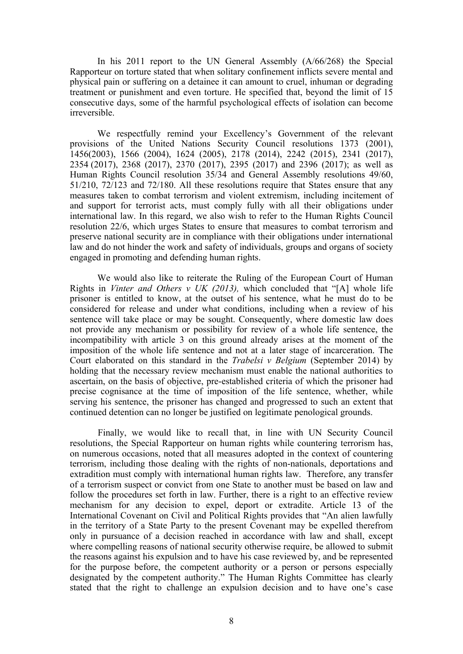In his 2011 repor<sup>t</sup> to the UN General Assembly (A/66/268) the Special Rapporteur on torture stated that when solitary confinement inflicts severe mental and physical pain or suffering on <sup>a</sup> detainee it can amount to cruel, inhuman or degrading treatment or punishment and even torture. He specified that, beyond the limit of 15 consecutive days, some of the harmful psychological effects of isolation can become irreversible.

We respectfully remind your Excellency'<sup>s</sup> Government of the relevant provisions of the United Nations Security Council resolutions 1373 (2001), 1456(2003), 1566 (2004), 1624 (2005), 2178 (2014), 2242 (2015), 2341 (2017), 2354 (2017), 2368 (2017), 2370 (2017), 2395 (2017) and 2396 (2017); as well as Human Rights Council resolution 35/34 and General Assembly resolutions 49/60, 51/210, 72/123 and 72/180. All these resolutions require that States ensure that any measures taken to combat terrorism and violent extremism, including incitement of and suppor<sup>t</sup> for terrorist acts, must comply fully with all their obligations under international law. In this regard, we also wish to refer to the Human Rights Council resolution 22/6, which urges States to ensure that measures to combat terrorism and preserve national security are in compliance with their obligations under international law and do not hinder the work and safety of individuals, groups and organs of society engaged in promoting and defending human rights.

We would also like to reiterate the Ruling of the European Court of Human Rights in *Vinter and Others <sup>v</sup> UK (2013),* which concluded that "[A] whole life prisoner is entitled to know, at the outset of his sentence, what he must do to be considered for release and under what conditions, including when <sup>a</sup> review of his sentence will take place or may be sought. Consequently, where domestic law does not provide any mechanism or possibility for review of <sup>a</sup> whole life sentence, the incompatibility with article 3 on this ground already arises at the moment of the imposition of the whole life sentence and not at <sup>a</sup> later stage of incarceration. The Court elaborated on this standard in the *Trabelsi <sup>v</sup> Belgium* (September 2014) by holding that the necessary review mechanism must enable the national authorities to ascertain, on the basis of objective, pre-established criteria of which the prisoner had precise cognisance at the time of imposition of the life sentence, whether, while serving his sentence, the prisoner has changed and progressed to such an extent that continued detention can no longer be justified on legitimate penological grounds.

Finally, we would like to recall that, in line with UN Security Council resolutions, the Special Rapporteur on human rights while countering terrorism has, on numerous occasions, noted that all measures adopted in the context of countering terrorism, including those dealing with the rights of non-nationals, deportations and extradition must comply with international human rights law. Therefore, any transfer of <sup>a</sup> terrorism suspec<sup>t</sup> or convict from one State to another must be based on law and follow the procedures set forth in law. Further, there is <sup>a</sup> right to an effective review mechanism for any decision to expel, deport or extradite. Article 13 of the International Covenant on Civil and Political Rights provides that "An alien lawfully in the territory of <sup>a</sup> State Party to the presen<sup>t</sup> Covenant may be expelled therefrom only in pursuance of <sup>a</sup> decision reached in accordance with law and shall, excep<sup>t</sup> where compelling reasons of national security otherwise require, be allowed to submit the reasons against his expulsion and to have his case reviewed by, and be represented for the purpose before, the competent authority or <sup>a</sup> person or persons especially designated by the competent authority." The Human Rights Committee has clearly stated that the right to challenge an expulsion decision and to have one'<sup>s</sup> case